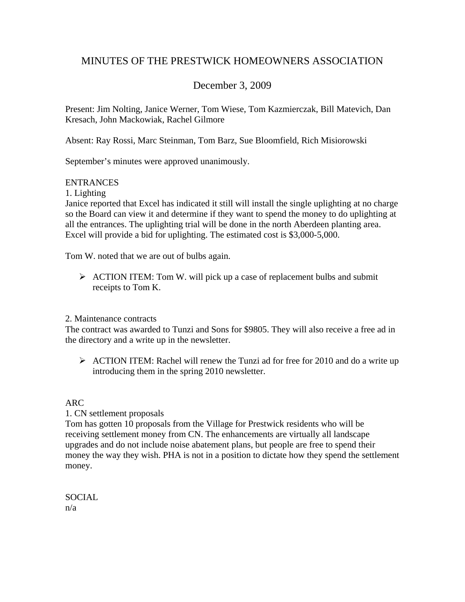# MINUTES OF THE PRESTWICK HOMEOWNERS ASSOCIATION

# December 3, 2009

Present: Jim Nolting, Janice Werner, Tom Wiese, Tom Kazmierczak, Bill Matevich, Dan Kresach, John Mackowiak, Rachel Gilmore

Absent: Ray Rossi, Marc Steinman, Tom Barz, Sue Bloomfield, Rich Misiorowski

September's minutes were approved unanimously.

## **ENTRANCES**

1. Lighting

Janice reported that Excel has indicated it still will install the single uplighting at no charge so the Board can view it and determine if they want to spend the money to do uplighting at all the entrances. The uplighting trial will be done in the north Aberdeen planting area. Excel will provide a bid for uplighting. The estimated cost is \$3,000-5,000.

Tom W. noted that we are out of bulbs again.

 $\triangleright$  ACTION ITEM: Tom W. will pick up a case of replacement bulbs and submit receipts to Tom K.

### 2. Maintenance contracts

The contract was awarded to Tunzi and Sons for \$9805. They will also receive a free ad in the directory and a write up in the newsletter.

 $\triangleright$  ACTION ITEM: Rachel will renew the Tunzi ad for free for 2010 and do a write up introducing them in the spring 2010 newsletter.

## ARC

## 1. CN settlement proposals

Tom has gotten 10 proposals from the Village for Prestwick residents who will be receiving settlement money from CN. The enhancements are virtually all landscape upgrades and do not include noise abatement plans, but people are free to spend their money the way they wish. PHA is not in a position to dictate how they spend the settlement money.

# SOCIAL

n/a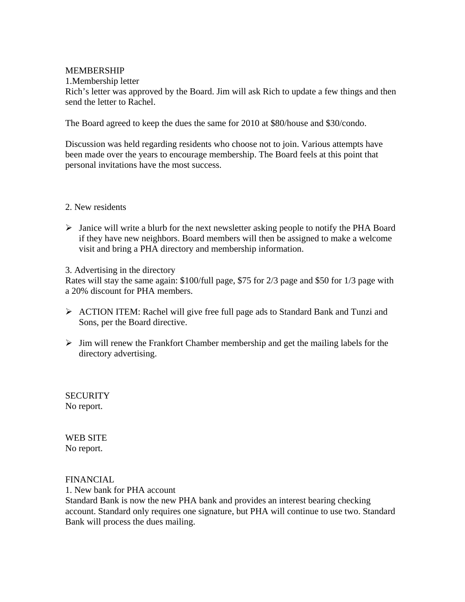#### MEMBERSHIP

1.Membership letter

Rich's letter was approved by the Board. Jim will ask Rich to update a few things and then send the letter to Rachel.

The Board agreed to keep the dues the same for 2010 at \$80/house and \$30/condo.

Discussion was held regarding residents who choose not to join. Various attempts have been made over the years to encourage membership. The Board feels at this point that personal invitations have the most success.

#### 2. New residents

¾ Janice will write a blurb for the next newsletter asking people to notify the PHA Board if they have new neighbors. Board members will then be assigned to make a welcome visit and bring a PHA directory and membership information.

3. Advertising in the directory

Rates will stay the same again: \$100/full page, \$75 for 2/3 page and \$50 for 1/3 page with a 20% discount for PHA members.

- ¾ ACTION ITEM: Rachel will give free full page ads to Standard Bank and Tunzi and Sons, per the Board directive.
- $\triangleright$  Jim will renew the Frankfort Chamber membership and get the mailing labels for the directory advertising.

**SECURITY** No report.

WEB SITE No report.

FINANCIAL

1. New bank for PHA account

Standard Bank is now the new PHA bank and provides an interest bearing checking account. Standard only requires one signature, but PHA will continue to use two. Standard Bank will process the dues mailing.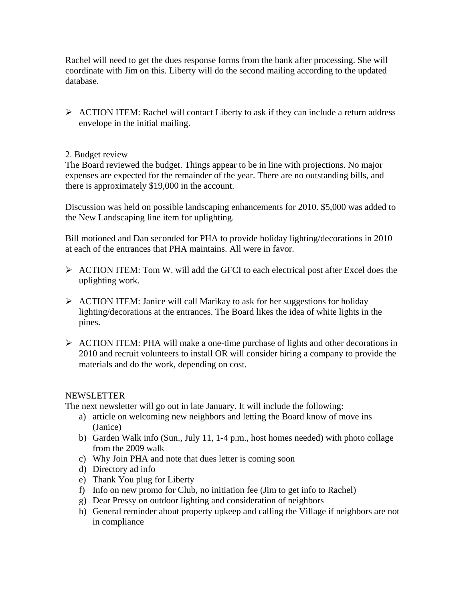Rachel will need to get the dues response forms from the bank after processing. She will coordinate with Jim on this. Liberty will do the second mailing according to the updated database.

¾ ACTION ITEM: Rachel will contact Liberty to ask if they can include a return address envelope in the initial mailing.

### 2. Budget review

The Board reviewed the budget. Things appear to be in line with projections. No major expenses are expected for the remainder of the year. There are no outstanding bills, and there is approximately \$19,000 in the account.

Discussion was held on possible landscaping enhancements for 2010. \$5,000 was added to the New Landscaping line item for uplighting.

Bill motioned and Dan seconded for PHA to provide holiday lighting/decorations in 2010 at each of the entrances that PHA maintains. All were in favor.

- $\triangleright$  ACTION ITEM: Tom W. will add the GFCI to each electrical post after Excel does the uplighting work.
- $\triangleright$  ACTION ITEM: Janice will call Marikay to ask for her suggestions for holiday lighting/decorations at the entrances. The Board likes the idea of white lights in the pines.
- ¾ ACTION ITEM: PHA will make a one-time purchase of lights and other decorations in 2010 and recruit volunteers to install OR will consider hiring a company to provide the materials and do the work, depending on cost.

### NEWSLETTER

The next newsletter will go out in late January. It will include the following:

- a) article on welcoming new neighbors and letting the Board know of move ins (Janice)
- b) Garden Walk info (Sun., July 11, 1-4 p.m., host homes needed) with photo collage from the 2009 walk
- c) Why Join PHA and note that dues letter is coming soon
- d) Directory ad info
- e) Thank You plug for Liberty
- f) Info on new promo for Club, no initiation fee (Jim to get info to Rachel)
- g) Dear Pressy on outdoor lighting and consideration of neighbors
- h) General reminder about property upkeep and calling the Village if neighbors are not in compliance